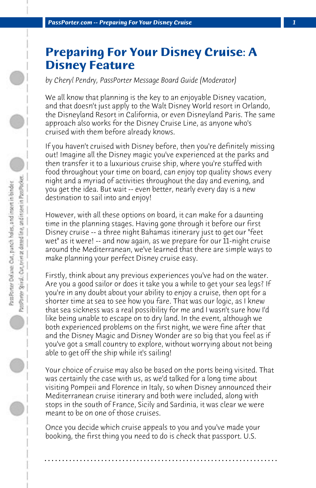## **Preparing For Your Disney Cruise: A Disney Feature**

*by Cheryl Pendry, PassPorter Message Board Guide (Moderator)*

We all know that planning is the key to an enjoyable Disney vacation, and that doesn't just apply to the Walt Disney World resort in Orlando, the Disneyland Resort in California, or even Disneyland Paris. The same approach also works for the Disney Cruise Line, as anyone who's cruised with them before already knows.

If you haven't cruised with Disney before, then you're definitely missing out! Imagine all the Disney magic you've experienced at the parks and then transfer it to a luxurious cruise ship, where you're stuffed with food throughout your time on board, can enjoy top quality shows every night and a myriad of activities throughout the day and evening, and you get the idea. But wait -- even better, nearly every day is a new destination to sail into and enjoy!

However, with all these options on board, it can make for a daunting time in the planning stages. Having gone through it before our first Disney cruise -- a three night Bahamas itinerary just to get our "feet wet" as it were! -- and now again, as we prepare for our 11-night cruise around the Mediterranean, we've learned that there are simple ways to make planning your perfect Disney cruise easy.

Firstly, think about any previous experiences you've had on the water. Are you a good sailor or does it take you a while to get your sea legs? If you're in any doubt about your ability to enjoy a cruise, then opt for a shorter time at sea to see how you fare. That was our logic, as I knew that sea sickness was a real possibility for me and I wasn't sure how I'd like being unable to escape on to dry land. In the event, although we both experienced problems on the first night, we were fine after that and the Disney Magic and Disney Wonder are so big that you feel as if you've got a small country to explore, without worrying about not being able to get off the ship while it's sailing!

Your choice of cruise may also be based on the ports being visited. That was certainly the case with us, as we'd talked for a long time about visiting Pompeii and Florence in Italy, so when Disney announced their Mediterranean cruise itinerary and both were included, along with stops in the south of France, Sicily and Sardinia, it was clear we were meant to be on one of those cruises.

Once you decide which cruise appeals to you and you've made your booking, the first thing you need to do is check that passport. U.S.

**. . . . . . . . . . . . . . . . . . . . . . . . . . . . . . . . . . . . . . . . . . . . . . . . . . . . . . . . . . . . . . . . . .**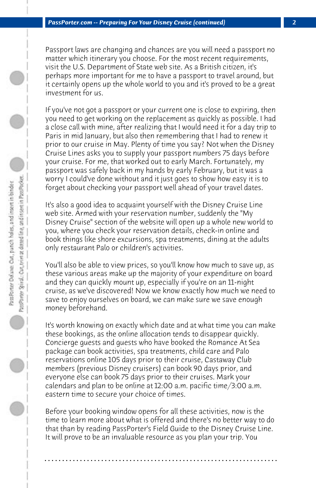Passport laws are changing and chances are you will need a passport no matter which itinerary you choose. For the most recent requirements, visit the U.S. Department of State web site. As a British citizen, it's perhaps more important for me to have a passport to travel around, but it certainly opens up the whole world to you and it's proved to be a great investment for us.

If you've not got a passport or your current one is close to expiring, then you need to get working on the replacement as quickly as possible. I had a close call with mine, after realizing that I would need it for a day trip to Paris in mid January, but also then remembering that I had to renew it prior to our cruise in May. Plenty of time you say? Not when the Disney Cruise Lines asks you to supply your passport numbers 75 days before your cruise. For me, that worked out to early March. Fortunately, my passport was safely back in my hands by early February, but it was a worry I could've done without and it just goes to show how easy it is to forget about checking your passport well ahead of your travel dates.

It's also a good idea to acquaint yourself with the Disney Cruise Line web site. Armed with your reservation number, suddenly the "My Disney Cruise" section of the website will open up a whole new world to you, where you check your reservation details, check-in online and book things like shore excursions, spa treatments, dining at the adults only restaurant Palo or children's activities.

You'll also be able to view prices, so you'll know how much to save up, as these various areas make up the majority of your expenditure on board and they can quickly mount up, especially if you're on an 11-night cruise, as we've discovered! Now we know exactly how much we need to save to enjoy ourselves on board, we can make sure we save enough money beforehand.

It's worth knowing on exactly which date and at what time you can make these bookings, as the online allocation tends to disappear quickly. Concierge guests and guests who have booked the Romance At Sea package can book activities, spa treatments, child care and Palo reservations online 105 days prior to their cruise, Castaway Club members (previous Disney cruisers) can book 90 days prior, and everyone else can book 75 days prior to their cruises. Mark your calendars and plan to be online at 12:00 a.m. pacific time/3:00 a.m. eastern time to secure your choice of times.

Before your booking window opens for all these activities, now is the time to learn more about what is offered and there's no better way to do that than by reading PassPorter's Field Guide to the Disney Cruise Line. It will prove to be an invaluable resource as you plan your trip. You

**. . . . . . . . . . . . . . . . . . . . . . . . . . . . . . . . . . . . . . . . . . . . . . . . . . . . . . . . . . . . . . . . . .**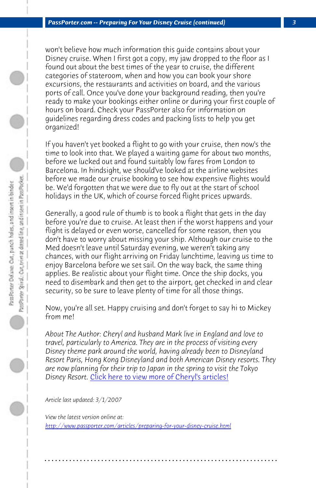*PassPorter.com -- Preparing For Your Disney Cruise (continued) 3*

won't believe how much information this guide contains about your Disney cruise. When I first got a copy, my jaw dropped to the floor as I found out about the best times of the year to cruise, the different categories of stateroom, when and how you can book your shore excursions, the restaurants and activities on board, and the various ports of call. Once you've done your background reading, then you're ready to make your bookings either online or during your first couple of hours on board. Check your PassPorter also for information on guidelines regarding dress codes and packing lists to help you get organized!

If you haven't yet booked a flight to go with your cruise, then now's the time to look into that. We played a waiting game for about two months, before we lucked out and found suitably low fares from London to Barcelona. In hindsight, we should've looked at the airline websites before we made our cruise booking to see how expensive flights would be. We'd forgotten that we were due to fly out at the start of school holidays in the UK, which of course forced flight prices upwards.

Generally, a good rule of thumb is to book a flight that gets in the day before you're due to cruise. At least then if the worst happens and your flight is delay[ed or even worse, cancelled for some reason](http://www.passporter.com/articles/cheryl-pendry-featured-columnist.asp), then you don't have to worry about missing your ship. Although our cruise to the Med doesn't leave until Saturday evening, we weren't taking any chances, with our flight arriving on Friday lunchtime, leaving us time to enjoy Barcelona before we set sail. On the way back, the same thing applies. Be realistic about your flight time. Once the ship docks, you [need to disembark and then get to the airport, get checked](http://www.passporter.com/articles/preparing-for-your-disney-cruise.php) in and clear security, so be sure to leave plenty of time for all those things.

Now, you're all set. Happy cruising and don't forget to say hi to Mickey from me!

*About The Author: Cheryl and husband Mark live in England and love to travel, particularly to America. They are in the process of visiting every Disney theme park around the world, having already been to Disneyland Resort Paris, Hong Kong Disneyland and both American Disney resorts. They are now planning for their trip to Japan in the spring to visit the Tokyo Disney Resort.* Click here to view more of Cheryl's articles!

**. . . . . . . . . . . . . . . . . . . . . . . . . . . . . . . . . . . . . . . . . . . . . . . . . . . . . . . . . . . . . . . . . .**

*Article last updated: 3/1/2007*

*View the latest version online at: http://www.passporter.com/articles/preparing-for-your-disney-cruise.html*